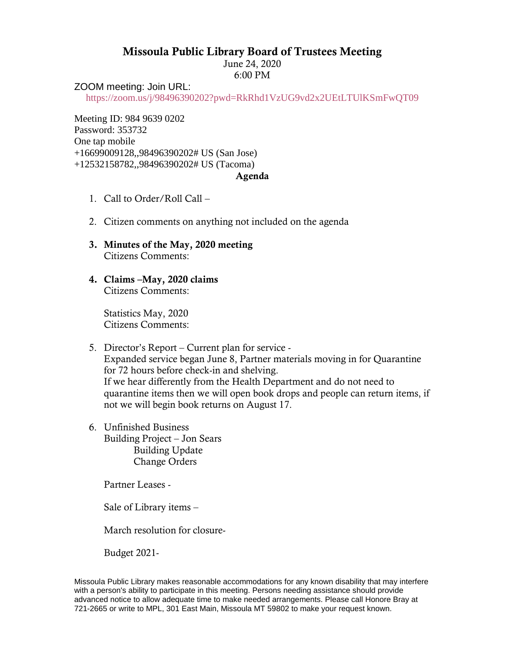## Missoula Public Library Board of Trustees Meeting

June 24, 2020 6:00 PM

ZOOM meeting: Join URL:

<https://zoom.us/j/98496390202?pwd=RkRhd1VzUG9vd2x2UEtLTUlKSmFwQT09>

Meeting ID: 984 9639 0202 Password: 353732 One tap mobile +16699009128,,98496390202# US (San Jose) +12532158782,,98496390202# US (Tacoma)

## Agenda

- 1. Call to Order/Roll Call –
- 2. Citizen comments on anything not included on the agenda
- 3. Minutes of the May, 2020 meeting Citizens Comments:
- 4. Claims –May, 2020 claims Citizens Comments:

Statistics May, 2020 Citizens Comments:

## 5. Director's Report – Current plan for service - Expanded service began June 8, Partner materials moving in for Quarantine for 72 hours before check-in and shelving. If we hear differently from the Health Department and do not need to quarantine items then we will open book drops and people can return items, if not we will begin book returns on August 17.

6. Unfinished Business Building Project – Jon Sears Building Update Change Orders

Partner Leases -

Sale of Library items –

March resolution for closure-

Budget 2021-

Missoula Public Library makes reasonable accommodations for any known disability that may interfere with a person's ability to participate in this meeting. Persons needing assistance should provide advanced notice to allow adequate time to make needed arrangements. Please call Honore Bray at 721-2665 or write to MPL, 301 East Main, Missoula MT 59802 to make your request known.